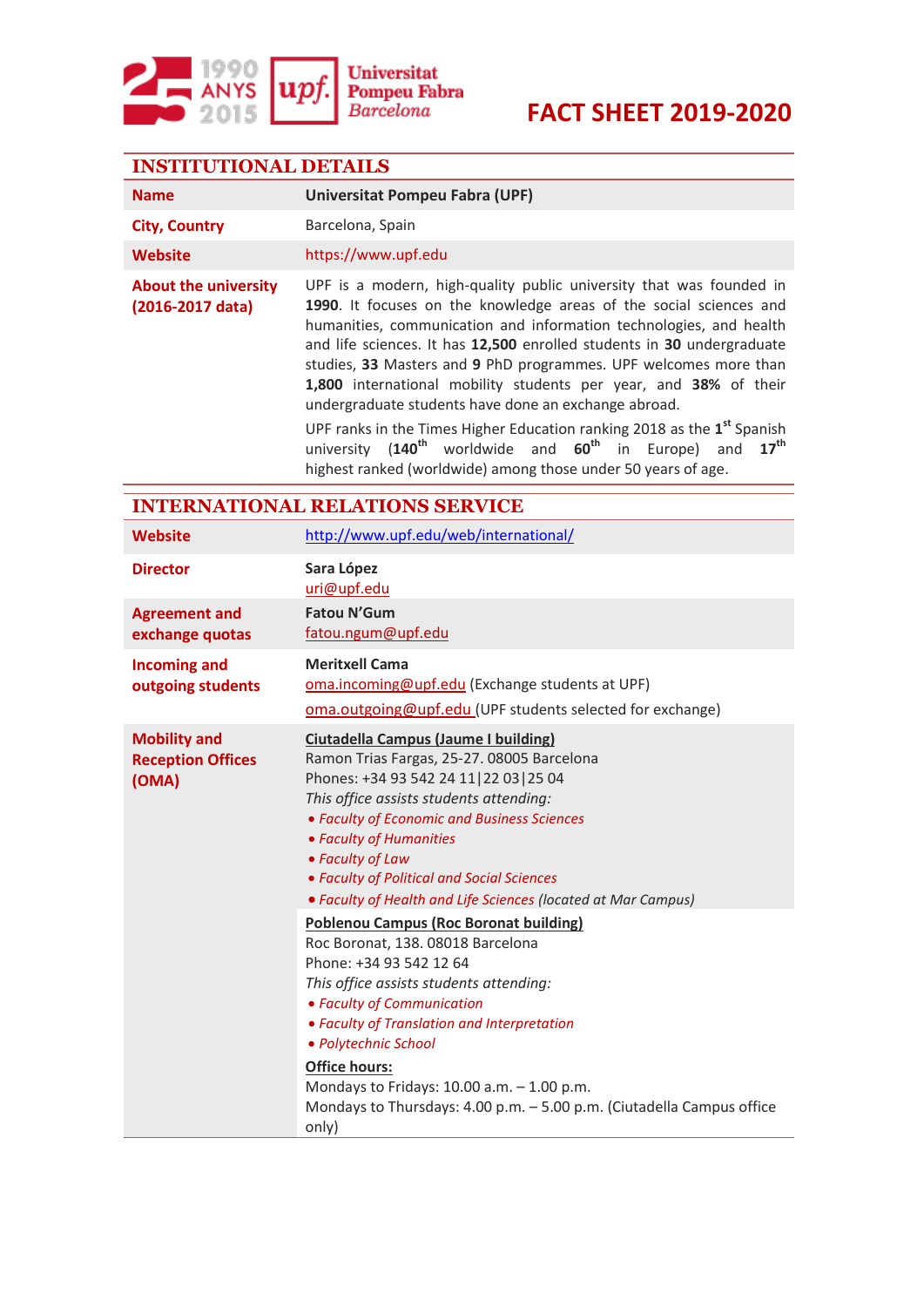

| <b>INSTITUTIONAL DETAILS</b>                             |                                                                                                                                                                                                                                                                                                                                                                                                                                                                                                                                                                                                                                                                                                                                                                        |  |  |  |
|----------------------------------------------------------|------------------------------------------------------------------------------------------------------------------------------------------------------------------------------------------------------------------------------------------------------------------------------------------------------------------------------------------------------------------------------------------------------------------------------------------------------------------------------------------------------------------------------------------------------------------------------------------------------------------------------------------------------------------------------------------------------------------------------------------------------------------------|--|--|--|
| <b>Name</b>                                              | <b>Universitat Pompeu Fabra (UPF)</b>                                                                                                                                                                                                                                                                                                                                                                                                                                                                                                                                                                                                                                                                                                                                  |  |  |  |
| <b>City, Country</b>                                     | Barcelona, Spain                                                                                                                                                                                                                                                                                                                                                                                                                                                                                                                                                                                                                                                                                                                                                       |  |  |  |
| <b>Website</b>                                           | https://www.upf.edu                                                                                                                                                                                                                                                                                                                                                                                                                                                                                                                                                                                                                                                                                                                                                    |  |  |  |
| <b>About the university</b><br>(2016-2017 data)          | UPF is a modern, high-quality public university that was founded in<br>1990. It focuses on the knowledge areas of the social sciences and<br>humanities, communication and information technologies, and health<br>and life sciences. It has 12,500 enrolled students in 30 undergraduate<br>studies, 33 Masters and 9 PhD programmes. UPF welcomes more than<br>1,800 international mobility students per year, and 38% of their<br>undergraduate students have done an exchange abroad.<br>UPF ranks in the Times Higher Education ranking 2018 as the 1 <sup>st</sup> Spanish<br>60 <sup>th</sup><br>$17^{\text{th}}$<br>$(140^{\text{th}}$<br>worldwide and<br>in<br>Europe)<br>university<br>and<br>highest ranked (worldwide) among those under 50 years of age. |  |  |  |
| <b>INTERNATIONAL RELATIONS SERVICE</b>                   |                                                                                                                                                                                                                                                                                                                                                                                                                                                                                                                                                                                                                                                                                                                                                                        |  |  |  |
| <b>Website</b>                                           | http://www.upf.edu/web/international/                                                                                                                                                                                                                                                                                                                                                                                                                                                                                                                                                                                                                                                                                                                                  |  |  |  |
| <b>Director</b>                                          | Sara López<br>uri@upf.edu                                                                                                                                                                                                                                                                                                                                                                                                                                                                                                                                                                                                                                                                                                                                              |  |  |  |
| <b>Agreement and</b><br>exchange quotas                  | <b>Fatou N'Gum</b><br>fatou.ngum@upf.edu                                                                                                                                                                                                                                                                                                                                                                                                                                                                                                                                                                                                                                                                                                                               |  |  |  |
| <b>Incoming and</b><br>outgoing students                 | <b>Meritxell Cama</b><br>oma.incoming@upf.edu (Exchange students at UPF)<br>oma.outgoing@upf.edu (UPF students selected for exchange)                                                                                                                                                                                                                                                                                                                                                                                                                                                                                                                                                                                                                                  |  |  |  |
| <b>Mobility and</b><br><b>Reception Offices</b><br>(OMA) | <b>Ciutadella Campus (Jaume I building)</b><br>Ramon Trias Fargas, 25-27. 08005 Barcelona<br>Phones: +34 93 542 24 11 22 03 25 04<br>This office assists students attending:<br>• Faculty of Economic and Business Sciences<br>• Faculty of Humanities<br>• Faculty of Law<br>• Faculty of Political and Social Sciences<br>• Faculty of Health and Life Sciences (located at Mar Campus)                                                                                                                                                                                                                                                                                                                                                                              |  |  |  |
|                                                          | <b>Poblenou Campus (Roc Boronat building)</b><br>Roc Boronat, 138. 08018 Barcelona<br>Phone: +34 93 542 12 64<br>This office assists students attending:<br>• Faculty of Communication<br>• Faculty of Translation and Interpretation<br>· Polytechnic School<br>Office hours:<br>Mondays to Fridays: $10.00$ a.m. $-1.00$ p.m.<br>Mondays to Thursdays: 4.00 p.m. - 5.00 p.m. (Ciutadella Campus office<br>only)                                                                                                                                                                                                                                                                                                                                                      |  |  |  |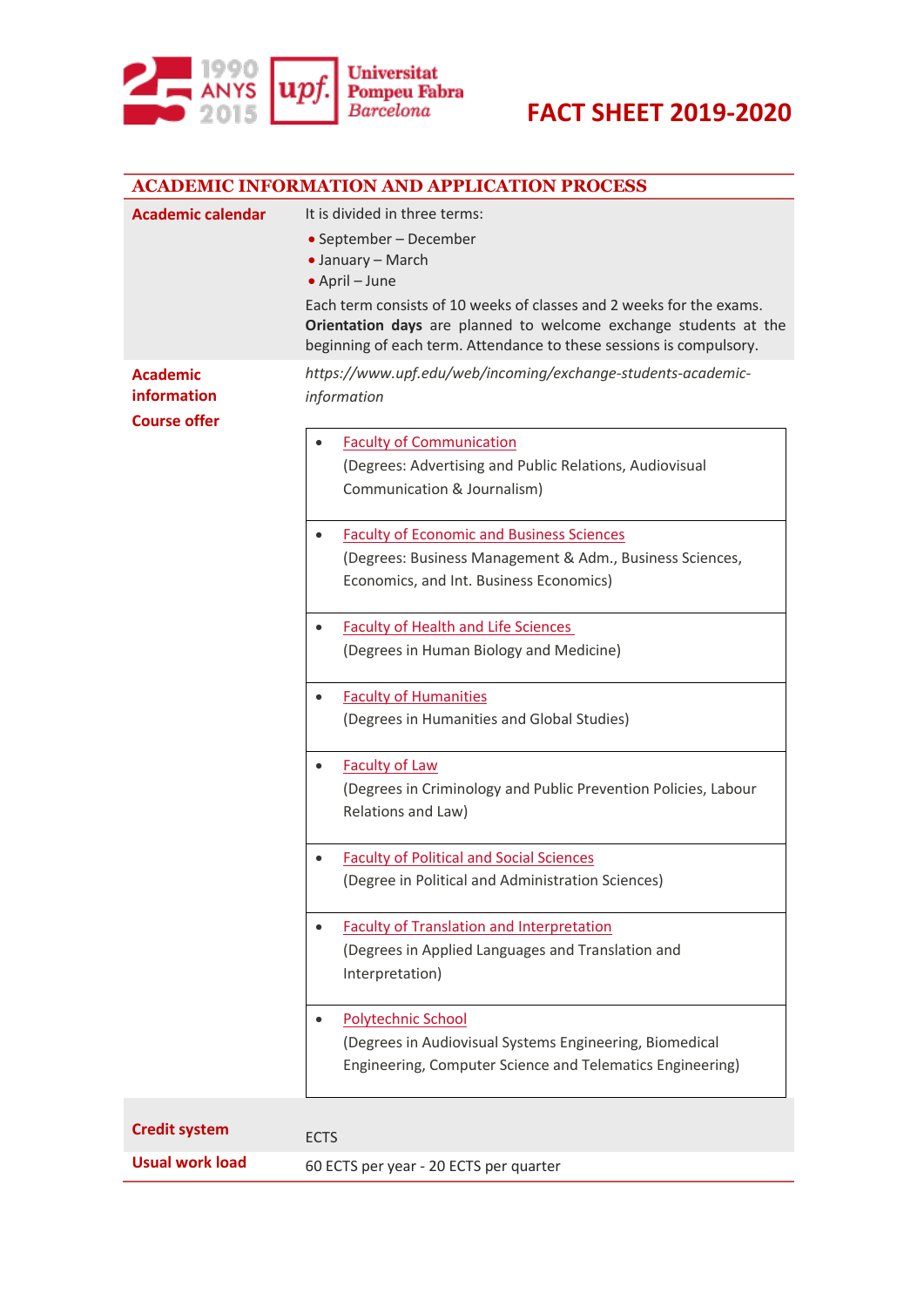

|                                                       | <b>ACADEMIC INFORMATION AND APPLICATION PROCESS</b>                                                                                                                                                                                                                                                               |  |  |
|-------------------------------------------------------|-------------------------------------------------------------------------------------------------------------------------------------------------------------------------------------------------------------------------------------------------------------------------------------------------------------------|--|--|
| <b>Academic calendar</b>                              | It is divided in three terms:<br>• September - December<br>• January - March<br>• April – June<br>Each term consists of 10 weeks of classes and 2 weeks for the exams.<br>Orientation days are planned to welcome exchange students at the<br>beginning of each term. Attendance to these sessions is compulsory. |  |  |
| <b>Academic</b><br>information<br><b>Course offer</b> | https://www.upf.edu/web/incoming/exchange-students-academic-<br>information                                                                                                                                                                                                                                       |  |  |
|                                                       | <b>Faculty of Communication</b><br>(Degrees: Advertising and Public Relations, Audiovisual<br>Communication & Journalism)                                                                                                                                                                                         |  |  |
|                                                       | <b>Faculty of Economic and Business Sciences</b><br>$\bullet$<br>(Degrees: Business Management & Adm., Business Sciences,<br>Economics, and Int. Business Economics)                                                                                                                                              |  |  |
|                                                       | <b>Faculty of Health and Life Sciences</b><br>(Degrees in Human Biology and Medicine)                                                                                                                                                                                                                             |  |  |
|                                                       | <b>Faculty of Humanities</b><br>(Degrees in Humanities and Global Studies)                                                                                                                                                                                                                                        |  |  |
|                                                       | <b>Faculty of Law</b><br>(Degrees in Criminology and Public Prevention Policies, Labour<br>Relations and Law)                                                                                                                                                                                                     |  |  |
|                                                       | <b>Faculty of Political and Social Sciences</b><br>(Degree in Political and Administration Sciences)                                                                                                                                                                                                              |  |  |
|                                                       | <b>Faculty of Translation and Interpretation</b><br>(Degrees in Applied Languages and Translation and<br>Interpretation)                                                                                                                                                                                          |  |  |
|                                                       | <b>Polytechnic School</b><br>(Degrees in Audiovisual Systems Engineering, Biomedical<br>Engineering, Computer Science and Telematics Engineering)                                                                                                                                                                 |  |  |
| <b>Credit system</b>                                  | <b>ECTS</b>                                                                                                                                                                                                                                                                                                       |  |  |
| <b>Usual work load</b>                                | 60 ECTS per year - 20 ECTS per quarter                                                                                                                                                                                                                                                                            |  |  |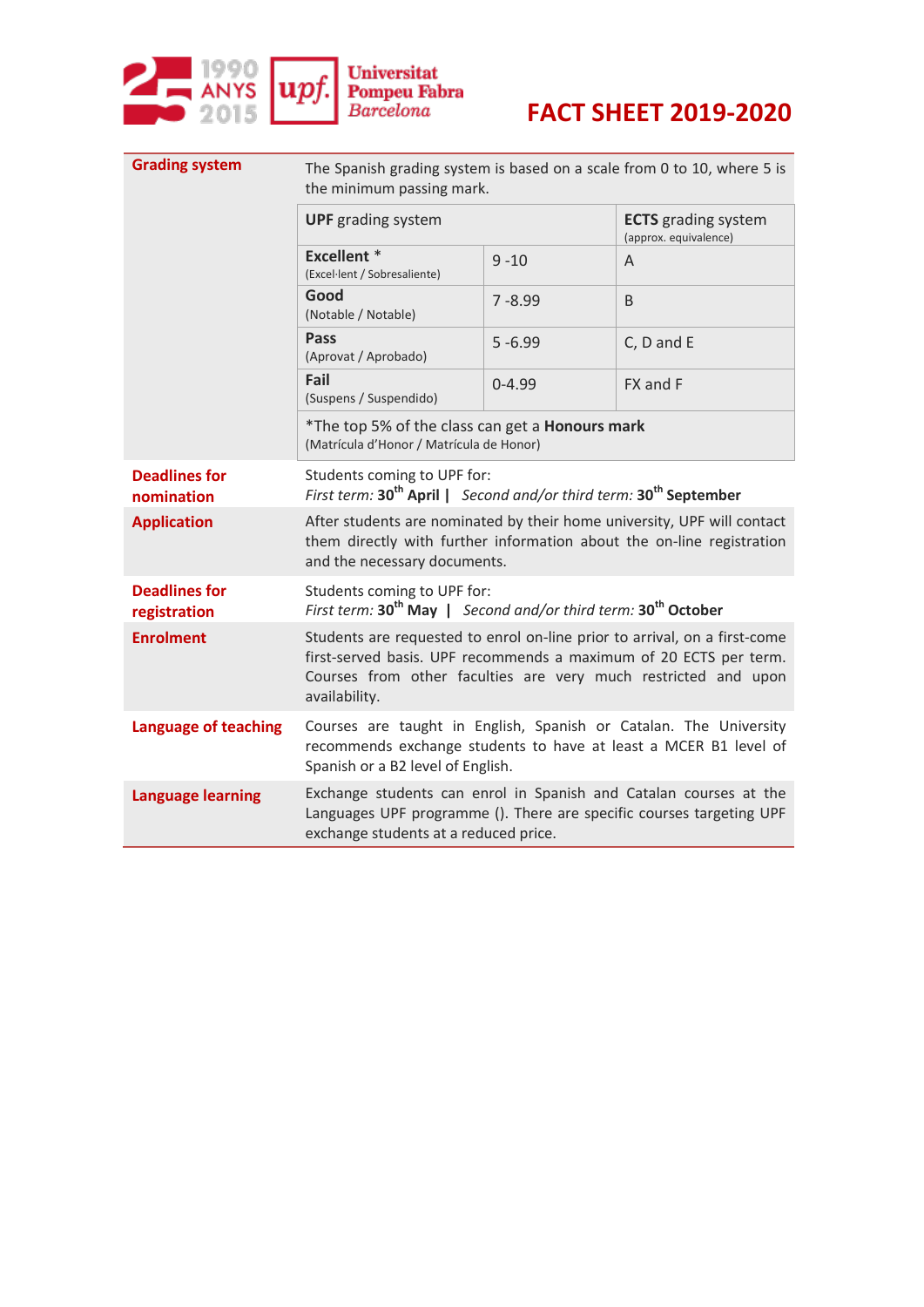

| <b>Grading system</b>                | The Spanish grading system is based on a scale from 0 to 10, where 5 is<br>the minimum passing mark.                                                                                                                              |            |                                                     |  |
|--------------------------------------|-----------------------------------------------------------------------------------------------------------------------------------------------------------------------------------------------------------------------------------|------------|-----------------------------------------------------|--|
|                                      | <b>UPF</b> grading system                                                                                                                                                                                                         |            | <b>ECTS</b> grading system<br>(approx. equivalence) |  |
|                                      | <b>Excellent</b> *<br>(Excel·lent / Sobresaliente)                                                                                                                                                                                | $9 - 10$   | A                                                   |  |
|                                      | Good<br>(Notable / Notable)                                                                                                                                                                                                       | $7 - 8.99$ | B                                                   |  |
|                                      | Pass<br>(Aprovat / Aprobado)                                                                                                                                                                                                      | $5 - 6.99$ | C, D and E                                          |  |
|                                      | Fail<br>(Suspens / Suspendido)                                                                                                                                                                                                    | $0 - 4.99$ | FX and F                                            |  |
|                                      | *The top 5% of the class can get a Honours mark<br>(Matrícula d'Honor / Matrícula de Honor)                                                                                                                                       |            |                                                     |  |
| <b>Deadlines for</b><br>nomination   | Students coming to UPF for:<br>First term: 30 <sup>th</sup> April   Second and/or third term: 30 <sup>th</sup> September                                                                                                          |            |                                                     |  |
| <b>Application</b>                   | After students are nominated by their home university, UPF will contact<br>them directly with further information about the on-line registration<br>and the necessary documents.                                                  |            |                                                     |  |
| <b>Deadlines for</b><br>registration | Students coming to UPF for:<br>First term: 30 <sup>th</sup> May   Second and/or third term: 30 <sup>th</sup> October                                                                                                              |            |                                                     |  |
| <b>Enrolment</b>                     | Students are requested to enrol on-line prior to arrival, on a first-come<br>first-served basis. UPF recommends a maximum of 20 ECTS per term.<br>Courses from other faculties are very much restricted and upon<br>availability. |            |                                                     |  |
| <b>Language of teaching</b>          | Courses are taught in English, Spanish or Catalan. The University<br>recommends exchange students to have at least a MCER B1 level of<br>Spanish or a B2 level of English.                                                        |            |                                                     |  |
| <b>Language learning</b>             | Exchange students can enrol in Spanish and Catalan courses at the<br>Languages UPF programme (). There are specific courses targeting UPF<br>exchange students at a reduced price.                                                |            |                                                     |  |